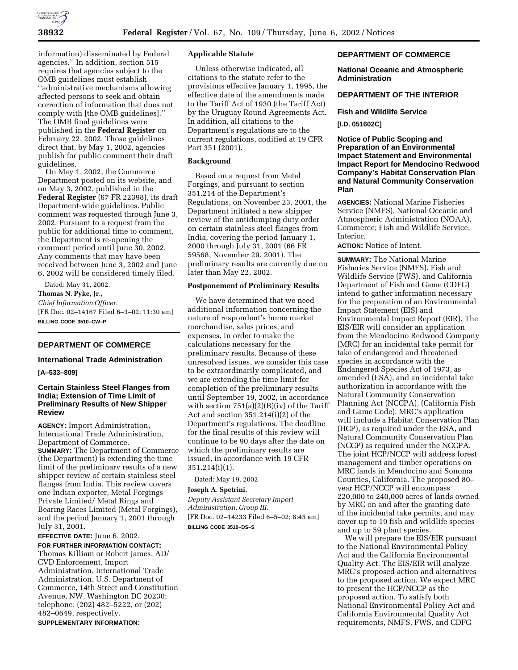

information) disseminated by Federal agencies.'' In addition, section 515 requires that agencies subject to the OMB guidelines must establish ''administrative mechanisms allowing affected persons to seek and obtain correction of information that does not comply with [the OMB guidelines].'' The OMB final guidelines were published in the **Federal Register** on February 22, 2002. Those guidelines direct that, by May 1, 2002, agencies publish for public comment their draft guidelines.

On May 1, 2002, the Commerce Department posted on its website, and on May 3, 2002, published in the **Federal Register** (67 FR 22398), its draft Department-wide guidelines. Public comment was requested through June 3, 2002. Pursuant to a request from the public for additional time to comment, the Department is re-opening the comment period until June 30, 2002. Any comments that may have been received between June 3, 2002 and June 6, 2002 will be considered timely filed.

Dated: May 31, 2002. **Thomas N. Pyke, Jr.,**  *Chief Information Officer.* [FR Doc. 02–14167 Filed 6–3–02; 11:30 am] **BILLING CODE 3510–CW–P**

## **DEPARTMENT OF COMMERCE**

# **International Trade Administration**

## **[A–533–809]**

## **Certain Stainless Steel Flanges from India; Extension of Time Limit of Preliminary Results of New Shipper Review**

**AGENCY:** Import Administration, International Trade Administration, Department of Commerce. **SUMMARY:** The Department of Commerce (the Department) is extending the time limit of the preliminary results of a new shipper review of certain stainless steel flanges from India. This review covers one Indian exporter, Metal Forgings Private Limited/ Metal Rings and Bearing Races Limited (Metal Forgings), and the period January 1, 2001 through July 31, 2001.

**EFFECTIVE DATE:** June 6, 2002.

**FOR FURTHER INFORMATION CONTACT:** Thomas Killiam or Robert James, AD/ CVD Enforcement, Import Administration, International Trade Administration, U.S. Department of Commerce, 14th Street and Constitution Avenue, NW, Washington DC 20230; telephone: (202) 482–5222, or (202) 482–0649, respectively. **SUPPLEMENTARY INFORMATION:**

## **Applicable Statute**

Unless otherwise indicated, all citations to the statute refer to the provisions effective January 1, 1995, the effective date of the amendments made to the Tariff Act of 1930 (the Tariff Act) by the Uruguay Round Agreements Act. In addition, all citations to the Department's regulations are to the current regulations, codified at 19 CFR Part 351 (2001).

## **Background**

Based on a request from Metal Forgings, and pursuant to section 351.214 of the Department's Regulations, on November 23, 2001, the Department initiated a new shipper review of the antidumping duty order on certain stainless steel flanges from India, covering the period January 1, 2000 through July 31, 2001 (66 FR 59568, November 29, 2001). The preliminary results are currently due no later than May 22, 2002.

## **Postponement of Preliminary Results**

We have determined that we need additional information concerning the nature of respondent's home market merchandise, sales prices, and expenses, in order to make the calculations necessary for the preliminary results. Because of these unresolved issues, we consider this case to be extraordinarily complicated, and we are extending the time limit for completion of the preliminary results until September 19, 2002, in accordance with section  $751(a)(2)(B)(iv)$  of the Tariff Act and section 351.214(i)(2) of the Department's regulations. The deadline for the final results of this review will continue to be 90 days after the date on which the preliminary results are issued, in accordance with 19 CFR 351.214(i)(1).

Dated: May 19, 2002

## **Joseph A. Spetrini,**

*Deputy Assistant Secretary Import Administration, Group III.* [FR Doc. 02–14233 Filed 6–5–02; 8:45 am] **BILLING CODE 3510–DS–S**

## **DEPARTMENT OF COMMERCE**

**National Oceanic and Atmospheric Administration**

## **DEPARTMENT OF THE INTERIOR**

## **Fish and Wildlife Service**

**[I.D. 051602C]**

**Notice of Public Scoping and Preparation of an Environmental Impact Statement and Environmental Impact Report for Mendocino Redwood Company's Habitat Conservation Plan and Natural Community Conservation Plan**

**AGENCIES:** National Marine Fisheries Service (NMFS), National Oceanic and Atmospheric Administration (NOAA), Commerce; Fish and Wildlife Service, **Interior** 

**ACTION:** Notice of Intent.

**SUMMARY:** The National Marine Fisheries Service (NMFS), Fish and Wildlife Service (FWS), and California Department of Fish and Game (CDFG) intend to gather information necessary for the preparation of an Environmental Impact Statement (EIS) and Environmental Impact Report (EIR). The EIS/EIR will consider an application from the Mendocino Redwood Company (MRC) for an incidental take permit for take of endangered and threatened species in accordance with the Endangered Species Act of 1973, as amended (ESA), and an incidental take authorization in accordance with the Natural Community Conservation Planning Act (NCCPA), (California Fish and Game Code). MRC's application will include a Habitat Conservation Plan (HCP), as required under the ESA, and Natural Community Conservation Plan (NCCP) as required under the NCCPA. The joint HCP/NCCP will address forest management and timber operations on MRC lands in Mendocino and Sonoma Counties, California. The proposed 80– year HCP/NCCP will encompass 220,000 to 240,000 acres of lands owned by MRC on and after the granting date of the incidental take permits, and may cover up to 19 fish and wildlife species and up to 59 plant species.

We will prepare the EIS/EIR pursuant to the National Environmental Policy Act and the California Environmental Quality Act. The EIS/EIR will analyze MRC's proposed action and alternatives to the proposed action. We expect MRC to present the HCP/NCCP as the proposed action. To satisfy both National Environmental Policy Act and California Environmental Quality Act requirements, NMFS, FWS, and CDFG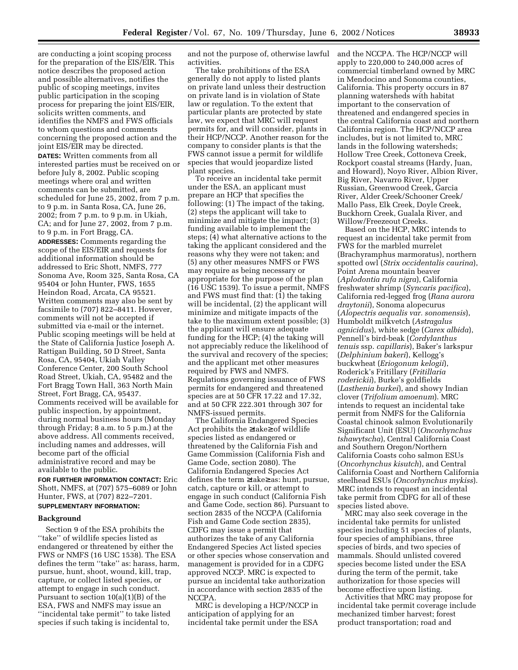are conducting a joint scoping process for the preparation of the EIS/EIR. This notice describes the proposed action and possible alternatives, notifies the public of scoping meetings, invites public participation in the scoping process for preparing the joint EIS/EIR, solicits written comments, and identifies the NMFS and FWS officials to whom questions and comments concerning the proposed action and the joint EIS/EIR may be directed.

**DATES:** Written comments from all interested parties must be received on or before July 8, 2002. Public scoping meetings where oral and written comments can be submitted, are scheduled for June 25, 2002, from 7 p.m. to 9 p.m. in Santa Rosa, CA, June 26, 2002; from 7 p.m. to 9 p.m. in Ukiah, CA; and for June 27, 2002, from 7 p.m. to 9 p.m. in Fort Bragg, CA.

**ADDRESSES:** Comments regarding the scope of the EIS/EIR and requests for additional information should be addressed to Eric Shott, NMFS, 777 Sonoma Ave, Room 325, Santa Rosa, CA 95404 or John Hunter, FWS, 1655 Heindon Road, Arcata, CA 95521. Written comments may also be sent by facsimile to (707) 822–8411. However, comments will not be accepted if submitted via e-mail or the internet. Public scoping meetings will be held at the State of California Justice Joseph A. Rattigan Building, 50 D Street, Santa Rosa, CA, 95404, Ukiah Valley Conference Center, 200 South School Road Street, Ukiah, CA, 95482 and the Fort Bragg Town Hall, 363 North Main Street, Fort Bragg, CA, 95437. Comments received will be available for public inspection, by appointment, during normal business hours (Monday through Friday; 8 a.m. to 5 p.m.) at the above address. All comments received, including names and addresses, will become part of the official administrative record and may be available to the public.

**FOR FURTHER INFORMATION CONTACT:** Eric Shott, NMFS, at (707) 575–6089 or John Hunter, FWS, at (707) 822–7201. **SUPPLEMENTARY INFORMATION:**

#### **Background**

Section 9 of the ESA prohibits the ''take'' of wildlife species listed as endangered or threatened by either the FWS or NMFS (16 USC 1538). The ESA defines the term ''take'' as: harass, harm, pursue, hunt, shoot, wound, kill, trap, capture, or collect listed species, or attempt to engage in such conduct. Pursuant to section 10(a)(1)(B) of the ESA, FWS and NMFS may issue an ''incidental take permit'' to take listed species if such taking is incidental to,

and not the purpose of, otherwise lawful activities.

The take prohibitions of the ESA generally do not apply to listed plants on private land unless their destruction on private land is in violation of State law or regulation. To the extent that particular plants are protected by state law, we expect that MRC will request permits for, and will consider, plants in their HCP/NCCP. Another reason for the company to consider plants is that the FWS cannot issue a permit for wildlife species that would jeopardize listed plant species.

To receive an incidental take permit under the ESA, an applicant must prepare an HCP that specifies the following: (1) The impact of the taking, (2) steps the applicant will take to minimize and mitigate the impact; (3) funding available to implement the steps; (4) what alternative actions to the taking the applicant considered and the reasons why they were not taken; and (5) any other measures NMFS or FWS may require as being necessary or appropriate for the purpose of the plan (16 USC 1539). To issue a permit, NMFS and FWS must find that: (1) the taking will be incidental, (2) the applicant will minimize and mitigate impacts of the take to the maximum extent possible; (3) the applicant will ensure adequate funding for the HCP; (4) the taking will not appreciably reduce the likelihood of the survival and recovery of the species; and the applicant met other measures required by FWS and NMFS. Regulations governing issuance of FWS permits for endangered and threatened species are at 50 CFR 17.22 and 17.32, and at 50 CFR 222.301 through 307 for NMFS-issued permits.

The California Endangered Species Act prohibits the ≥take≥ of wildlife species listed as endangered or threatened by the California Fish and Game Commission (California Fish and Game Code, section 2080). The California Endangered Species Act defines the term ≥take≥ as: hunt, pursue, catch, capture or kill, or attempt to engage in such conduct (California Fish and Game Code, section 86). Pursuant to section 2835 of the NCCPA (California Fish and Game Code section 2835), CDFG may issue a permit that authorizes the take of any California Endangered Species Act listed species or other species whose conservation and management is provided for in a CDFG approved NCCP. MRC is expected to pursue an incidental take authorization in accordance with section 2835 of the NCCPA.

MRC is developing a HCP/NCCP in anticipation of applying for an incidental take permit under the ESA and the NCCPA. The HCP/NCCP will apply to 220,000 to 240,000 acres of commercial timberland owned by MRC in Mendocino and Sonoma counties, California. This property occurs in 87 planning watersheds with habitat important to the conservation of threatened and endangered species in the central California coast and northern California region. The HCP/NCCP area includes, but is not limited to, MRC lands in the following watersheds; Hollow Tree Creek, Cottoneva Creek, Rockport coastal streams (Hardy, Juan, and Howard), Noyo River, Albion River, Big River, Navarro River, Upper Russian, Greenwood Creek, Garcia River, Alder Creek/Schooner Creek/ Mallo Pass, Elk Creek, Doyle Creek, Buckhorn Creek, Gualala River, and Willow/Freezeout Creeks.

Based on the HCP, MRC intends to request an incidental take permit from FWS for the marbled murrelet (Brachyramphus marmoratus), northern spotted owl (*Strix occidentalis caurina*), Point Arena mountain beaver (*Aplodontia rufa nigra*), California freshwater shrimp (*Syncaris pacifica*), California red-legged frog (*Rana aurora draytonii*), Sonoma alopecurus (*Alopectris aequalis var. sonomensis*), Humboldt milkvetch (*Astragalus agnicidus*), white sedge (*Carex albida*), Pennell's bird-beak (*Cordylanthus tenuis* ssp. *capillaris*), Baker's larkspur (*Delphinium bakeri*), Kellogg's buckwheat (*Eriogonum kelogii*), Roderick's Fritillary (*Fritillaria roderickii*), Burke's goldfields (*Lasthenia burkei*), and showy Indian clover (*Trifolium amoenum*). MRC intends to request an incidental take permit from NMFS for the California Coastal chinook salmon Evolutionarily Significant Unit (ESU) (*Oncorhynchus tshawytscha*), Central California Coast and Southern Oregon/Northern California Coasts coho salmon ESUs (*Oncorhynchus kisutch*), and Central California Coast and Northern California steelhead ESUs (*Oncorhynchus mykiss*). MRC intends to request an incidental take permit from CDFG for all of these species listed above.

MRC may also seek coverage in the incidental take permits for unlisted species including 51 species of plants, four species of amphibians, three species of birds, and two species of mammals. Should unlisted covered species become listed under the ESA during the term of the permit, take authorization for those species will become effective upon listing.

Activities that MRC may propose for incidental take permit coverage include mechanized timber harvest; forest product transportation; road and